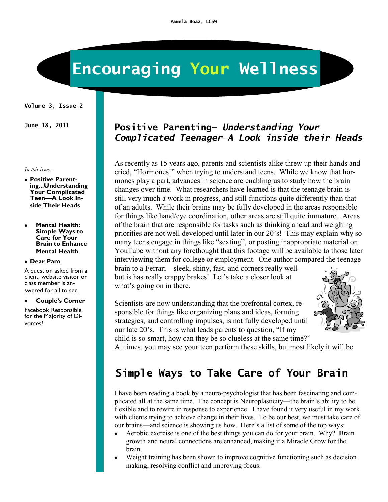# **Encouraging Your Wellness**

#### **Volume 3, Issue 2**

#### *In this issue:*

- **Positive Parenting...Understanding Your Complicated Teen—A Look Inside Their Heads**
- **Mental Health: Simple Ways to Care for Your Brain to Enhance Mental Health**

#### **Dear Pam**,

A question asked from a client, website visitor or class member is answered for all to see.

#### $\bullet$ **Couple's Corner**

Facebook Responsible for the Majority of Divorces?

### **June 18, 2011 Positive Parenting—** *Understanding Your Complicated Teenager—A Look inside their Heads*

As recently as 15 years ago, parents and scientists alike threw up their hands and cried, "Hormones!" when trying to understand teens. While we know that hormones play a part, advances in science are enabling us to study how the brain changes over time. What researchers have learned is that the teenage brain is still very much a work in progress, and still functions quite differently than that of an adults. While their brains may be fully developed in the areas responsible for things like hand/eye coordination, other areas are still quite immature. Areas of the brain that are responsible for tasks such as thinking ahead and weighing priorities are not well developed until later in our 20's! This may explain why so many teens engage in things like "sexting", or posting inappropriate material on YouTube without any forethought that this footage will be available to those later interviewing them for college or employment. One author compared the teenage brain to a Ferrari—sleek, shiny, fast, and corners really well—

but is has really crappy brakes! Let's take a closer look at what's going on in there.

Scientists are now understanding that the prefrontal cortex, responsible for things like organizing plans and ideas, forming strategies, and controlling impulses, is not fully developed until our late 20's. This is what leads parents to question, "If my child is so smart, how can they be so clueless at the same time?"



At times, you may see your teen perform these skills, but most likely it will be

## **Simple Ways to Take Care of Your Brain**

I have been reading a book by a neuro-psychologist that has been fascinating and complicated all at the same time. The concept is Neuroplasticity—the brain's ability to be flexible and to rewire in response to experience. I have found it very useful in my work with clients trying to achieve change in their lives. To be our best, we must take care of our brains—and science is showing us how. Here's a list of some of the top ways:

- Aerobic exercise is one of the best things you can do for your brain. Why? Brain growth and neural connections are enhanced, making it a Miracle Grow for the brain.
- Weight training has been shown to improve cognitive functioning such as decision making, resolving conflict and improving focus.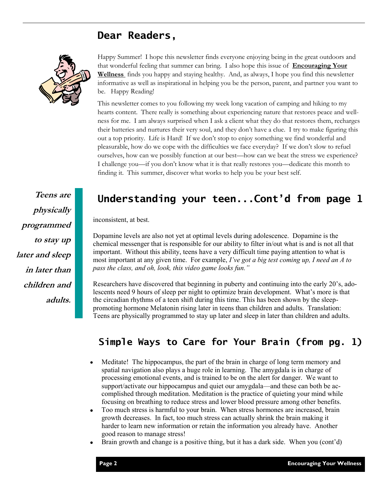### **Dear Readers,**



Happy Summer! I hope this newsletter finds everyone enjoying being in the great outdoors and that wonderful feeling that summer can bring. I also hope this issue of **Encouraging Your Wellness** finds you happy and staying healthy. And, as always, I hope you find this newsletter informative as well as inspirational in helping you be the person, parent, and partner you want to be. Happy Reading!

This newsletter comes to you following my week long vacation of camping and hiking to my hearts content. There really is something about experiencing nature that restores peace and wellness for me. I am always surprised when I ask a client what they do that restores them, recharges their batteries and nurtures their very soul, and they don't have a clue. I try to make figuring this out a top priority. Life is Hard! If we don't stop to enjoy something we find wonderful and pleasurable, how do we cope with the difficulties we face everyday? If we don't slow to refuel ourselves, how can we possibly function at our best—how can we beat the stress we experience? I challenge you—if you don't know what it is that really restores you—dedicate this month to finding it. This summer, discover what works to help you be your best self.

## **Teens are physically programmed to stay up later and sleep in later than children and adults.**

### **Understanding your teen...Cont'd from page 1**

inconsistent, at best.

Dopamine levels are also not yet at optimal levels during adolescence. Dopamine is the chemical messenger that is responsible for our ability to filter in/out what is and is not all that important. Without this ability, teens have a very difficult time paying attention to what is most important at any given time. For example, *I've got a big test coming up, I need an A to pass the class, and oh, look, this video game looks fun."* 

Researchers have discovered that beginning in puberty and continuing into the early 20's, adolescents need 9 hours of sleep per night to optimize brain development. What's more is that the circadian rhythms of a teen shift during this time. This has been shown by the sleeppromoting hormone Melatonin rising later in teens than children and adults. Translation: Teens are physically programmed to stay up later and sleep in later than children and adults.

### **Simple Ways to Care for Your Brain (from pg. 1)**

- Meditate! The hippocampus, the part of the brain in charge of long term memory and  $\bullet$ spatial navigation also plays a huge role in learning. The amygdala is in charge of processing emotional events, and is trained to be on the alert for danger. We want to support/activate our hippocampus and quiet our amygdala—and these can both be accomplished through meditation. Meditation is the practice of quieting your mind while focusing on breathing to reduce stress and lower blood pressure among other benefits.
- $\bullet$ Too much stress is harmful to your brain. When stress hormones are increased, brain growth decreases. In fact, too much stress can actually shrink the brain making it harder to learn new information or retain the information you already have. Another good reason to manage stress!
- Brain growth and change is a positive thing, but it has a dark side. When you (cont'd)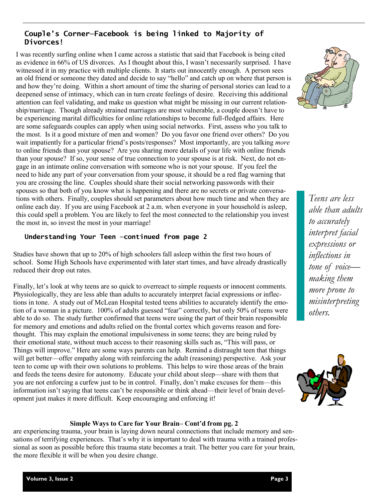### **Couple's Corner—Facebook is being linked to Majority of Divorces!**

I was recently surfing online when I came across a statistic that said that Facebook is being cited as evidence in 66% of US divorces. As I thought about this, I wasn't necessarily surprised. I have witnessed it in my practice with multiple clients. It starts out innocently enough. A person sees an old friend or someone they dated and decide to say "hello" and catch up on where that person is and how they're doing. Within a short amount of time the sharing of personal stories can lead to a deepened sense of intimacy, which can in turn create feelings of desire. Receiving this additional attention can feel validating, and make us question what might be missing in our current relationship/marriage. Though already strained marriages are most vulnerable, a couple doesn't have to be experiencing marital difficulties for online relationships to become full-fledged affairs. Here are some safeguards couples can apply when using social networks. First, assess who you talk to the most. Is it a good mixture of men and women? Do you favor one friend over others? Do you wait impatiently for a particular friend's posts/responses? Most importantly, are you talking *more*  to online friends than your spouse? Are you sharing more details of your life with online friends than your spouse? If so, your sense of true connection to your spouse is at risk. Next, do not engage in an intimate online conversation with someone who is not your spouse. If you feel the need to hide any part of your conversation from your spouse, it should be a red flag warning that you are crossing the line. Couples should share their social networking passwords with their spouses so that both of you know what is happening and there are no secrets or private conversations with others. Finally, couples should set parameters about how much time and when they are online each day. If you are using Facebook at 2 a.m. when everyone in your household is asleep, this could spell a problem. You are likely to feel the most connected to the relationship you invest the most in, so invest the most in your marriage!

### **Understanding Your Teen —continued from page 2**

Studies have shown that up to 20% of high schoolers fall asleep within the first two hours of school. Some High Schools have experimented with later start times, and have already drastically reduced their drop out rates.

Finally, let's look at why teens are so quick to overreact to simple requests or innocent comments. Physiologically, they are less able than adults to accurately interpret facial expressions or inflections in tone. A study out of McLean Hospital tested teens abilities to accurately identify the emotion of a woman in a picture. 100% of adults guessed "fear" correctly, but only 50% of teens were able to do so. The study further confirmed that teens were using the part of their brain responsible for memory and emotions and adults relied on the frontal cortex which governs reason and forethought. This may explain the emotional impulsiveness in some teens; they are being ruled by their emotional state, without much access to their reasoning skills such as, "This will pass, or Things will improve." Here are some ways parents can help. Remind a distraught teen that things will get better—offer empathy along with reinforcing the adult (reasoning) perspective. Ask your teen to come up with their own solutions to problems. This helps to wire those areas of the brain and feeds the teens desire for autonomy. Educate your child about sleep—share with them that you are not enforcing a curfew just to be in control. Finally, don't make excuses for them—this information isn't saying that teens can't be responsible or think ahead—their level of brain development just makes it more difficult. Keep encouraging and enforcing it!

*Teens are less able than adults to accurately interpret facial expressions or inflections in tone of voice making them more prone to misinterpreting others.* 



### **Simple Ways to Care for Your Brain– Cont'd from pg. 2**

are experiencing trauma, your brain is laying down neural connections that include memory and sensations of terrifying experiences. That's why it is important to deal with trauma with a trained professional as soon as possible before this trauma state becomes a trait. The better you care for your brain, the more flexible it will be when you desire change.